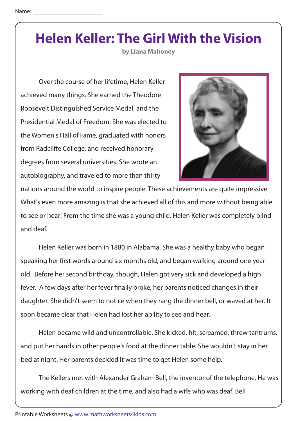**by Liana Mahoney**

 Over the course of her lifetime, Helen Keller achieved many things. She earned the Theodore Roosevelt Distinguished Service Medal, and the Presidential Medal of Freedom. She was elected to the Women's Hall of Fame, graduated with honors from Radcliffe College, and received honorary degrees from several universities. She wrote an autobiography, and traveled to more than thirty



nations around the world to inspire people. These achievements are quite impressive. What's even more amazing is that she achieved all of this and more without being able to see or hear! From the time she was a young child, Helen Keller was completely blind and deaf.

 Helen Keller was born in 1880 in Alabama. She was a healthy baby who began speaking her first words around six months old, and began walking around one year old. Before her second birthday, though, Helen got very sick and developed a high fever. A few days after her fever finally broke, her parents noticed changes in their daughter. She didn't seem to notice when they rang the dinner bell, or waved at her. It soon became clear that Helen had lost her ability to see and hear.

 Helen became wild and uncontrollable. She kicked, hit, screamed, threw tantrums, and put her hands in other people's food at the dinner table. She wouldn't stay in her bed at night. Her parents decided it was time to get Helen some help.

 The Kellers met with Alexander Graham Bell, the inventor of the telephone. He was working with deaf children at the time, and also had a wife who was deaf. Bell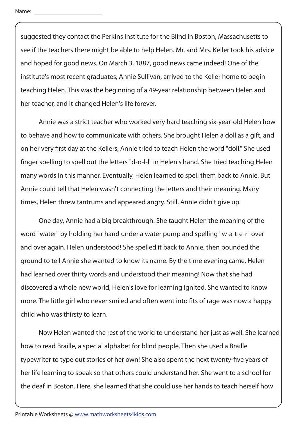suggested they contact the Perkins Institute for the Blind in Boston, Massachusetts to see if the teachers there might be able to help Helen. Mr. and Mrs. Keller took his advice and hoped for good news. On March 3, 1887, good news came indeed! One of the institute's most recent graduates, Annie Sullivan, arrived to the Keller home to begin teaching Helen. This was the beginning of a 49-year relationship between Helen and her teacher, and it changed Helen's life forever.

 Annie was a strict teacher who worked very hard teaching six-year-old Helen how to behave and how to communicate with others. She brought Helen a doll as a gift, and on her very first day at the Kellers, Annie tried to teach Helen the word "doll." She used finger spelling to spell out the letters "d-o-l-l" in Helen's hand. She tried teaching Helen many words in this manner. Eventually, Helen learned to spell them back to Annie. But Annie could tell that Helen wasn't connecting the letters and their meaning. Many times, Helen threw tantrums and appeared angry. Still, Annie didn't give up.

 One day, Annie had a big breakthrough. She taught Helen the meaning of the word "water" by holding her hand under a water pump and spelling "w-a-t-e-r" over and over again. Helen understood! She spelled it back to Annie, then pounded the ground to tell Annie she wanted to know its name. By the time evening came, Helen had learned over thirty words and understood their meaning! Now that she had discovered a whole new world, Helen's love for learning ignited. She wanted to know more. The little girl who never smiled and often went into fits of rage was now a happy child who was thirsty to learn.

 Now Helen wanted the rest of the world to understand her just as well. She learned how to read Braille, a special alphabet for blind people. Then she used a Braille typewriter to type out stories of her own! She also spent the next twenty-five years of her life learning to speak so that others could understand her. She went to a school for the deaf in Boston. Here, she learned that she could use her hands to teach herself how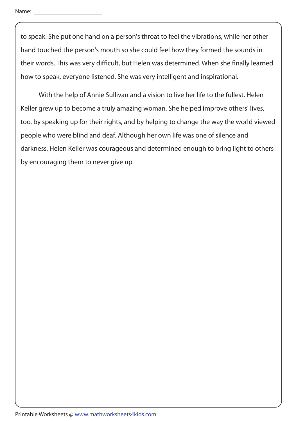to speak. She put one hand on a person's throat to feel the vibrations, while her other hand touched the person's mouth so she could feel how they formed the sounds in their words. This was very difficult, but Helen was determined. When she finally learned how to speak, everyone listened. She was very intelligent and inspirational.

 With the help of Annie Sullivan and a vision to live her life to the fullest, Helen Keller grew up to become a truly amazing woman. She helped improve others' lives, too, by speaking up for their rights, and by helping to change the way the world viewed people who were blind and deaf. Although her own life was one of silence and darkness, Helen Keller was courageous and determined enough to bring light to others by encouraging them to never give up.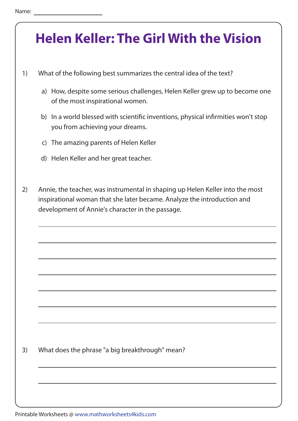- 1) What of the following best summarizes the central idea of the text?
	- a) How, despite some serious challenges, Helen Keller grew up to become one of the most inspirational women.
	- b) In a world blessed with scientific inventions, physical infirmities won't stop you from achieving your dreams.
	- c) The amazing parents of Helen Keller
	- d) Helen Keller and her great teacher.
- 2) Annie, the teacher, was instrumental in shaping up Helen Keller into the most inspirational woman that she later became. Analyze the introduction and development of Annie's character in the passage.

3) What does the phrase "a big breakthrough" mean?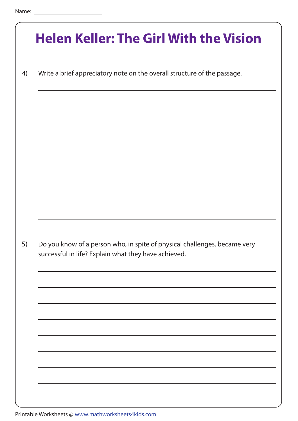|    | <b>Helen Keller: The Girl With the Vision</b>                                                                                     |
|----|-----------------------------------------------------------------------------------------------------------------------------------|
| 4) | Write a brief appreciatory note on the overall structure of the passage.                                                          |
|    |                                                                                                                                   |
|    |                                                                                                                                   |
|    |                                                                                                                                   |
|    |                                                                                                                                   |
|    |                                                                                                                                   |
| 5) | Do you know of a person who, in spite of physical challenges, became very<br>successful in life? Explain what they have achieved. |
|    |                                                                                                                                   |
|    |                                                                                                                                   |
|    |                                                                                                                                   |
|    |                                                                                                                                   |
|    |                                                                                                                                   |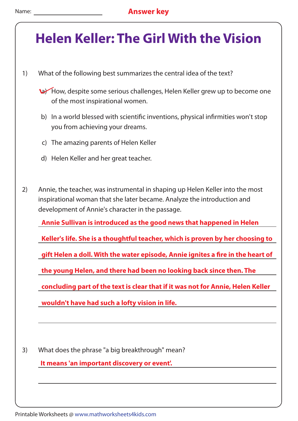- 1) What of the following best summarizes the central idea of the text?
	- a) How, despite some serious challenges, Helen Keller grew up to become one of the most inspirational women.
	- b) In a world blessed with scientific inventions, physical infirmities won't stop you from achieving your dreams.
	- c) The amazing parents of Helen Keller
	- d) Helen Keller and her great teacher.
- 2) Annie, the teacher, was instrumental in shaping up Helen Keller into the most inspirational woman that she later became. Analyze the introduction and development of Annie's character in the passage.

**Annie Sullivan is introduced as the good news that happened in Helen**

**Keller's life. She is a thoughtful teacher, which is proven by her choosing to**

**gift Helen a doll. With the water episode, Annie ignites a fire in the heart of** 

**the young Helen, and there had been no looking back since then. The**

**concluding part of the text is clear that if it was not for Annie, Helen Keller**

**wouldn't have had such a lofty vision in life.** 

3) What does the phrase "a big breakthrough" mean?

**It means 'an important discovery or event'.**

Printable Worksheets @ www.mathworksheets4kids.com